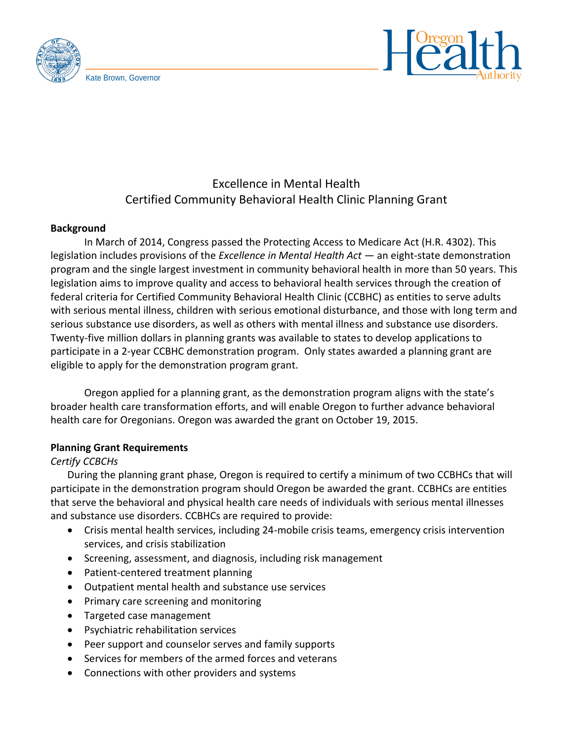



# Excellence in Mental Health Certified Community Behavioral Health Clinic Planning Grant

#### **Background**

In March of 2014, Congress passed the Protecting Access to Medicare Act (H.R. 4302). This legislation includes provisions of the *Excellence in Mental Health Act* — an eight-state demonstration program and the single largest investment in community behavioral health in more than 50 years. This legislation aims to improve quality and access to behavioral health services through the creation of federal criteria for Certified Community Behavioral Health Clinic (CCBHC) as entities to serve adults with serious mental illness, children with serious emotional disturbance, and those with long term and serious substance use disorders, as well as others with mental illness and substance use disorders. Twenty-five million dollars in planning grants was available to states to develop applications to participate in a 2-year CCBHC demonstration program. Only states awarded a planning grant are eligible to apply for the demonstration program grant.

Oregon applied for a planning grant, as the demonstration program aligns with the state's broader health care transformation efforts, and will enable Oregon to further advance behavioral health care for Oregonians. Oregon was awarded the grant on October 19, 2015.

### **Planning Grant Requirements**

### *Certify CCBCHs*

During the planning grant phase, Oregon is required to certify a minimum of two CCBHCs that will participate in the demonstration program should Oregon be awarded the grant. CCBHCs are entities that serve the behavioral and physical health care needs of individuals with serious mental illnesses and substance use disorders. CCBHCs are required to provide:

- Crisis mental health services, including 24-mobile crisis teams, emergency crisis intervention services, and crisis stabilization
- Screening, assessment, and diagnosis, including risk management
- Patient-centered treatment planning
- Outpatient mental health and substance use services
- Primary care screening and monitoring
- Targeted case management
- Psychiatric rehabilitation services
- Peer support and counselor serves and family supports
- Services for members of the armed forces and veterans
- Connections with other providers and systems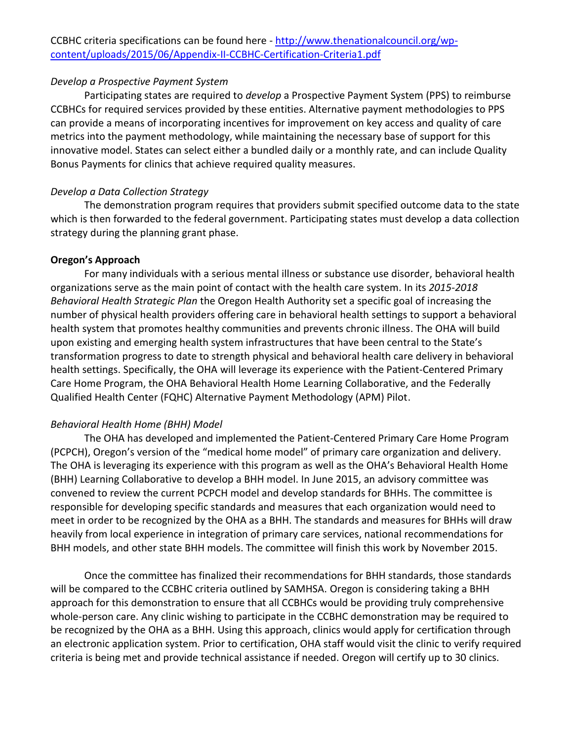### *Develop a Prospective Payment System*

Participating states are required to *develop* a Prospective Payment System (PPS) to reimburse CCBHCs for required services provided by these entities. Alternative payment methodologies to PPS can provide a means of incorporating incentives for improvement on key access and quality of care metrics into the payment methodology, while maintaining the necessary base of support for this innovative model. States can select either a bundled daily or a monthly rate, and can include Quality Bonus Payments for clinics that achieve required quality measures.

## *Develop a Data Collection Strategy*

The demonstration program requires that providers submit specified outcome data to the state which is then forwarded to the federal government. Participating states must develop a data collection strategy during the planning grant phase.

# **Oregon's Approach**

For many individuals with a serious mental illness or substance use disorder, behavioral health organizations serve as the main point of contact with the health care system. In its *2015-2018 Behavioral Health Strategic Plan* the Oregon Health Authority set a specific goal of increasing the number of physical health providers offering care in behavioral health settings to support a behavioral health system that promotes healthy communities and prevents chronic illness. The OHA will build upon existing and emerging health system infrastructures that have been central to the State's transformation progress to date to strength physical and behavioral health care delivery in behavioral health settings. Specifically, the OHA will leverage its experience with the Patient-Centered Primary Care Home Program, the OHA Behavioral Health Home Learning Collaborative, and the Federally Qualified Health Center (FQHC) Alternative Payment Methodology (APM) Pilot.

# *Behavioral Health Home (BHH) Model*

The OHA has developed and implemented the Patient-Centered Primary Care Home Program (PCPCH), Oregon's version of the "medical home model" of primary care organization and delivery. The OHA is leveraging its experience with this program as well as the OHA's Behavioral Health Home (BHH) Learning Collaborative to develop a BHH model. In June 2015, an advisory committee was convened to review the current PCPCH model and develop standards for BHHs. The committee is responsible for developing specific standards and measures that each organization would need to meet in order to be recognized by the OHA as a BHH. The standards and measures for BHHs will draw heavily from local experience in integration of primary care services, national recommendations for BHH models, and other state BHH models. The committee will finish this work by November 2015.

Once the committee has finalized their recommendations for BHH standards, those standards will be compared to the CCBHC criteria outlined by SAMHSA. Oregon is considering taking a BHH approach for this demonstration to ensure that all CCBHCs would be providing truly comprehensive whole-person care. Any clinic wishing to participate in the CCBHC demonstration may be required to be recognized by the OHA as a BHH. Using this approach, clinics would apply for certification through an electronic application system. Prior to certification, OHA staff would visit the clinic to verify required criteria is being met and provide technical assistance if needed. Oregon will certify up to 30 clinics.